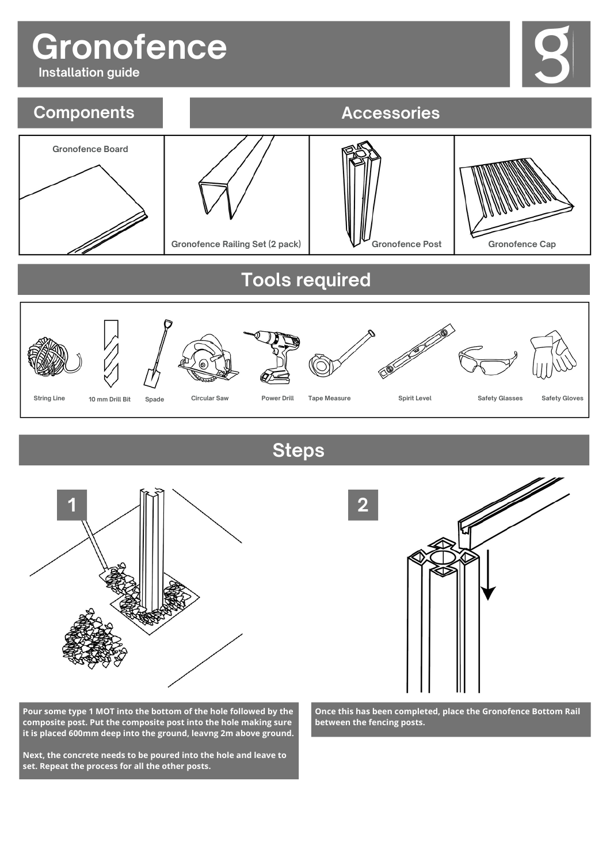## **Gronofence**

**Installation guide**







**Steps**



**Pour some type 1 MOT into the bottom of the hole followed by the composite post. Put the composite post into the hole making sure it is placed 600mm deep into the ground, leavng 2m above ground.**

**Next, the concrete needs to be poured into the hole and leave to set. Repeat the process for all the other posts.**



**Once this has been completed, place the Gronofence Bottom Rail between the fencing posts.**